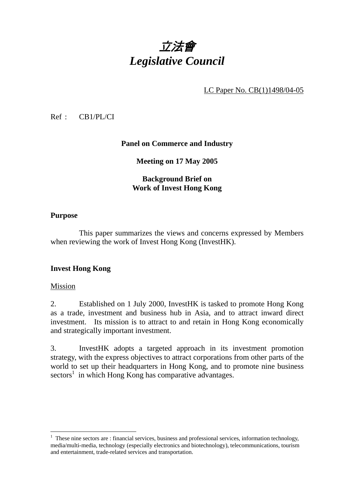# 立法會 *Legislative Council*

LC Paper No. CB(1)1498/04-05

Ref : CB1/PL/CI

## **Panel on Commerce and Industry**

**Meeting on 17 May 2005** 

# **Background Brief on Work of Invest Hong Kong**

#### **Purpose**

This paper summarizes the views and concerns expressed by Members when reviewing the work of Invest Hong Kong (InvestHK).

## **Invest Hong Kong**

#### Mission

2. Established on 1 July 2000, InvestHK is tasked to promote Hong Kong as a trade, investment and business hub in Asia, and to attract inward direct investment. Its mission is to attract to and retain in Hong Kong economically and strategically important investment.

3. InvestHK adopts a targeted approach in its investment promotion strategy, with the express objectives to attract corporations from other parts of the world to set up their headquarters in Hong Kong, and to promote nine business sectors<sup>1</sup> in which Hong Kong has comparative advantages.

<sup>&</sup>lt;sup>1</sup> These nine sectors are : financial services, business and professional services, information technology, media/multi-media, technology (especially electronics and biotechnology), telecommunications, tourism and entertainment, trade-related services and transportation.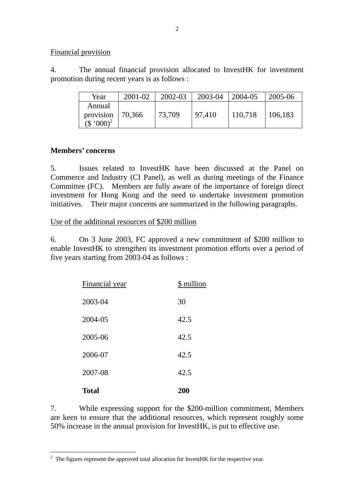#### Financial provision

4. The annual financial provision allocated to InvestHK for investment promotion during recent years is as follows :

| Year                                             | $2001 - 02$ | $2002 - 03$ | 2003-04 | 2004-05 | 2005-06 |
|--------------------------------------------------|-------------|-------------|---------|---------|---------|
| Annual<br>provision<br>$($ \$ '000) <sup>2</sup> | 70,366      | 73,709      | 97,410  | 110,718 | 106,183 |

#### **Members' concerns**

5. Issues related to InvestHK have been discussed at the Panel on Commerce and Industry (CI Panel), as well as during meetings of the Finance Committee (FC). Members are fully aware of the importance of foreign direct investment for Hong Kong and the need to undertake investment promotion initiatives. Their major concerns are summarized in the following paragraphs.

#### Use of the additional resources of \$200 million

6. On 3 June 2003, FC approved a new commitment of \$200 million to enable InvestHK to strengthen its investment promotion efforts over a period of five years starting from 2003-04 as follows :

| <b>Total</b>   | 200        |
|----------------|------------|
| 2007-08        | 42.5       |
| 2006-07        | 42.5       |
| 2005-06        | 42.5       |
| 2004-05        | 42.5       |
| 2003-04        | 30         |
| Financial year | \$ million |

7. While expressing support for the \$200-million commitment, Members are keen to ensure that the additional resources, which represent roughly some 50% increase in the annual provision for InvestHK, is put to effective use.

<sup>&</sup>lt;sup>2</sup> The figures represent the approved total allocation for InvestHK for the respective year.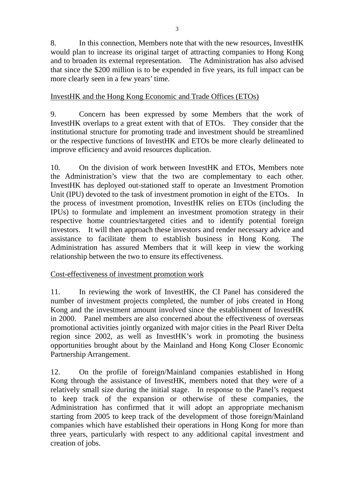3

8. In this connection, Members note that with the new resources, InvestHK would plan to increase its original target of attracting companies to Hong Kong and to broaden its external representation. The Administration has also advised that since the \$200 million is to be expended in five years, its full impact can be more clearly seen in a few years' time.

# InvestHK and the Hong Kong Economic and Trade Offices (ETOs)

9. Concern has been expressed by some Members that the work of InvestHK overlaps to a great extent with that of ETOs. They consider that the institutional structure for promoting trade and investment should be streamlined or the respective functions of InvestHK and ETOs be more clearly delineated to improve efficiency and avoid resources duplication.

10. On the division of work between InvestHK and ETOs, Members note the Administration's view that the two are complementary to each other. InvestHK has deployed out-stationed staff to operate an Investment Promotion Unit (IPU) devoted to the task of investment promotion in eight of the ETOs. In the process of investment promotion, InvestHK relies on ETOs (including the IPUs) to formulate and implement an investment promotion strategy in their respective home countries/targeted cities and to identify potential foreign investors. It will then approach these investors and render necessary advice and assistance to facilitate them to establish business in Hong Kong. The Administration has assured Members that it will keep in view the working relationship between the two to ensure its effectiveness.

# Cost-effectiveness of investment promotion work

11. In reviewing the work of InvestHK, the CI Panel has considered the number of investment projects completed, the number of jobs created in Hong Kong and the investment amount involved since the establishment of InvestHK in 2000. Panel members are also concerned about the effectiveness of overseas promotional activities jointly organized with major cities in the Pearl River Delta region since 2002, as well as InvestHK's work in promoting the business opportunities brought about by the Mainland and Hong Kong Closer Economic Partnership Arrangement.

12. On the profile of foreign/Mainland companies established in Hong Kong through the assistance of InvestHK, members noted that they were of a relatively small size during the initial stage. In response to the Panel's request to keep track of the expansion or otherwise of these companies, the Administration has confirmed that it will adopt an appropriate mechanism starting from 2005 to keep track of the development of those foreign/Mainland companies which have established their operations in Hong Kong for more than three years, particularly with respect to any additional capital investment and creation of jobs.